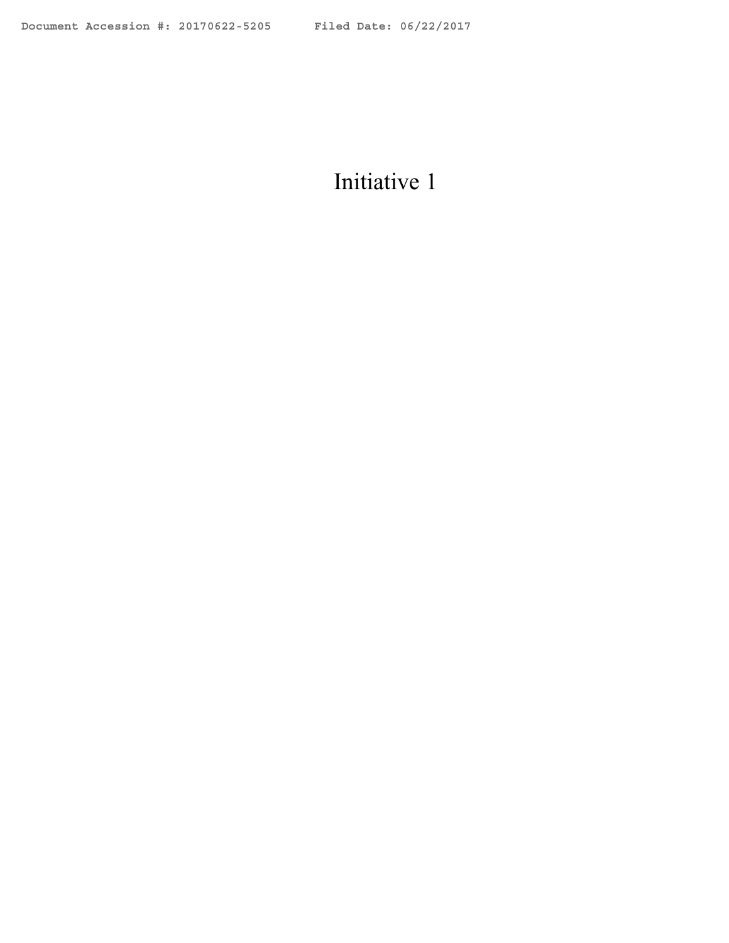# Initiative 1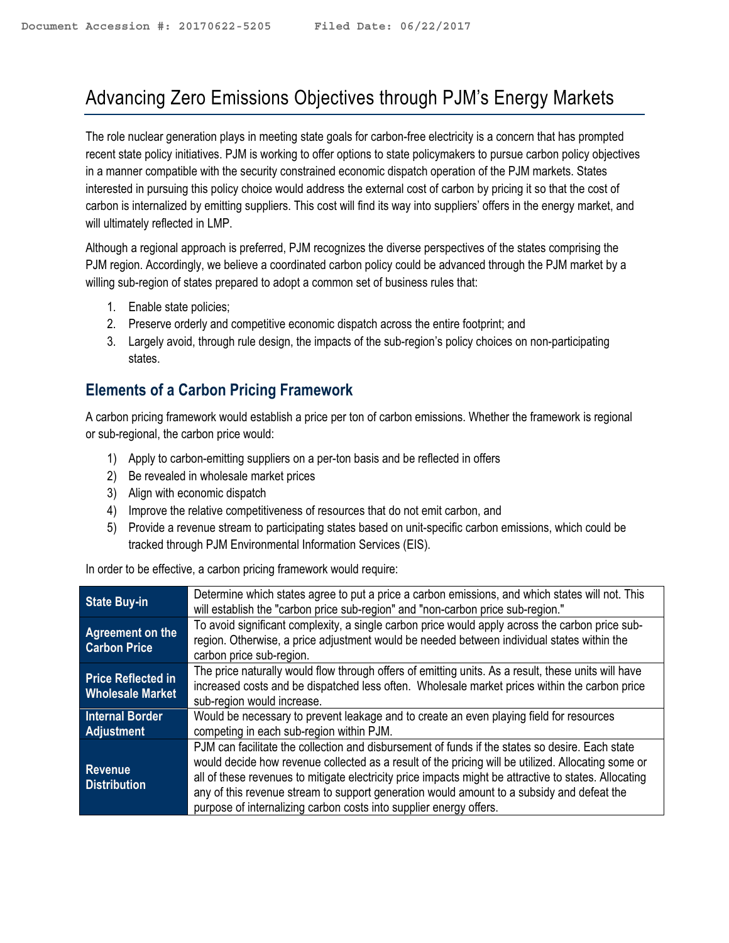# Advancing Zero Emissions Objectives through PJM's Energy Markets

The role nuclear generation plays in meeting state goals for carbon-free electricity is a concern that has prompted recent state policy initiatives. PJM is working to offer options to state policymakers to pursue carbon policy objectives in a manner compatible with the security constrained economic dispatch operation of the PJM markets. States interested in pursuing this policy choice would address the external cost of carbon by pricing it so that the cost of carbon is internalized by emitting suppliers. This cost will find its way into suppliers' offers in the energy market, and will ultimately reflected in LMP.

Although a regional approach is preferred, PJM recognizes the diverse perspectives of the states comprising the PJM region. Accordingly, we believe a coordinated carbon policy could be advanced through the PJM market by a willing sub-region of states prepared to adopt a common set of business rules that:

- 1. Enable state policies;
- 2. Preserve orderly and competitive economic dispatch across the entire footprint; and
- 3. Largely avoid, through rule design, the impacts of the sub-region's policy choices on non-participating states.

## **Elements of a Carbon Pricing Framework**

A carbon pricing framework would establish a price per ton of carbon emissions. Whether the framework is regional or sub-regional, the carbon price would:

- 1) Apply to carbon-emitting suppliers on a per-ton basis and be reflected in offers
- 2) Be revealed in wholesale market prices
- 3) Align with economic dispatch
- 4) Improve the relative competitiveness of resources that do not emit carbon, and
- 5) Provide a revenue stream to participating states based on unit-specific carbon emissions, which could be tracked through PJM Environmental Information Services (EIS).

In order to be effective, a carbon pricing framework would require:

| <b>State Buy-in</b>                                  | Determine which states agree to put a price a carbon emissions, and which states will not. This<br>will establish the "carbon price sub-region" and "non-carbon price sub-region."                                                                                                                                                                                                                                                                                                |
|------------------------------------------------------|-----------------------------------------------------------------------------------------------------------------------------------------------------------------------------------------------------------------------------------------------------------------------------------------------------------------------------------------------------------------------------------------------------------------------------------------------------------------------------------|
| Agreement on the<br><b>Carbon Price</b>              | To avoid significant complexity, a single carbon price would apply across the carbon price sub-<br>region. Otherwise, a price adjustment would be needed between individual states within the<br>carbon price sub-region.                                                                                                                                                                                                                                                         |
| <b>Price Reflected in</b><br><b>Wholesale Market</b> | The price naturally would flow through offers of emitting units. As a result, these units will have<br>increased costs and be dispatched less often. Wholesale market prices within the carbon price<br>sub-region would increase.                                                                                                                                                                                                                                                |
| <b>Internal Border</b><br><b>Adjustment</b>          | Would be necessary to prevent leakage and to create an even playing field for resources<br>competing in each sub-region within PJM.                                                                                                                                                                                                                                                                                                                                               |
| <b>Revenue</b><br><b>Distribution</b>                | PJM can facilitate the collection and disbursement of funds if the states so desire. Each state<br>would decide how revenue collected as a result of the pricing will be utilized. Allocating some or<br>all of these revenues to mitigate electricity price impacts might be attractive to states. Allocating<br>any of this revenue stream to support generation would amount to a subsidy and defeat the<br>purpose of internalizing carbon costs into supplier energy offers. |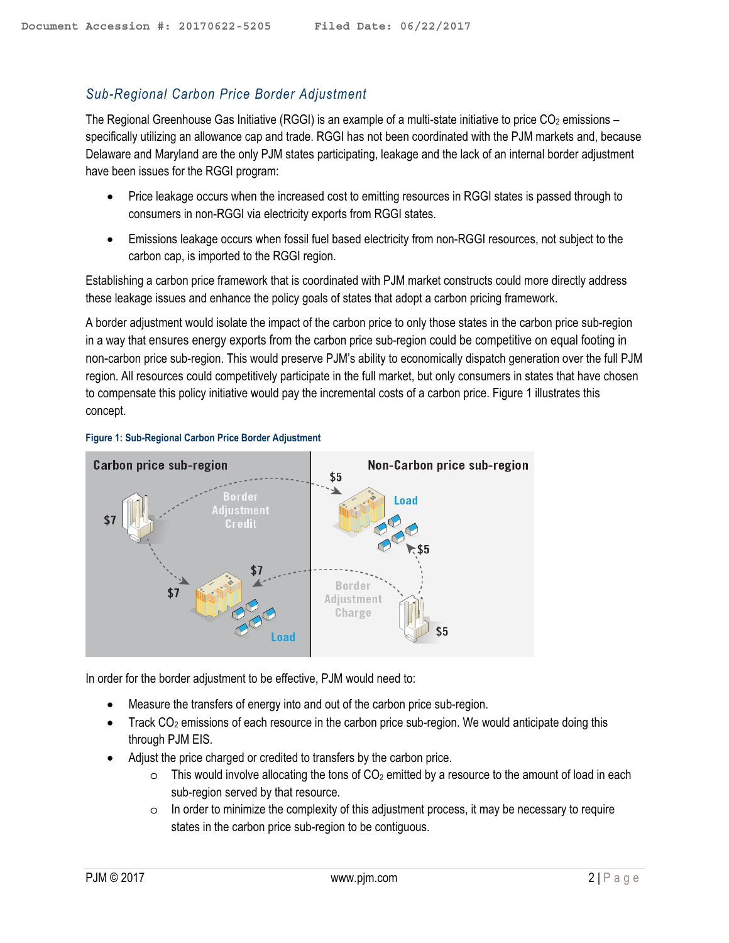#### *Sub-Regional Carbon Price Border Adjustment*

The Regional Greenhouse Gas Initiative (RGGI) is an example of a multi-state initiative to price  $CO<sub>2</sub>$  emissions – specifically utilizing an allowance cap and trade. RGGI has not been coordinated with the PJM markets and, because Delaware and Maryland are the only PJM states participating, leakage and the lack of an internal border adjustment have been issues for the RGGI program:

- Price leakage occurs when the increased cost to emitting resources in RGGI states is passed through to consumers in non-RGGI via electricity exports from RGGI states.
- Emissions leakage occurs when fossil fuel based electricity from non-RGGI resources, not subject to the carbon cap, is imported to the RGGI region.

Establishing a carbon price framework that is coordinated with PJM market constructs could more directly address these leakage issues and enhance the policy goals of states that adopt a carbon pricing framework.

A border adjustment would isolate the impact of the carbon price to only those states in the carbon price sub-region in a way that ensures energy exports from the carbon price sub-region could be competitive on equal footing in non-carbon price sub-region. This would preserve PJM's ability to economically dispatch generation over the full PJM region. All resources could competitively participate in the full market, but only consumers in states that have chosen to compensate this policy initiative would pay the incremental costs of a carbon price. Figure 1 illustrates this concept.





In order for the border adjustment to be effective, PJM would need to:

- Measure the transfers of energy into and out of the carbon price sub-region.
- $\bullet$  Track CO<sub>2</sub> emissions of each resource in the carbon price sub-region. We would anticipate doing this through PJM EIS.
- Adjust the price charged or credited to transfers by the carbon price.
	- $\circ$  This would involve allocating the tons of CO<sub>2</sub> emitted by a resource to the amount of load in each sub-region served by that resource.
	- $\circ$  In order to minimize the complexity of this adjustment process, it may be necessary to require states in the carbon price sub-region to be contiguous.